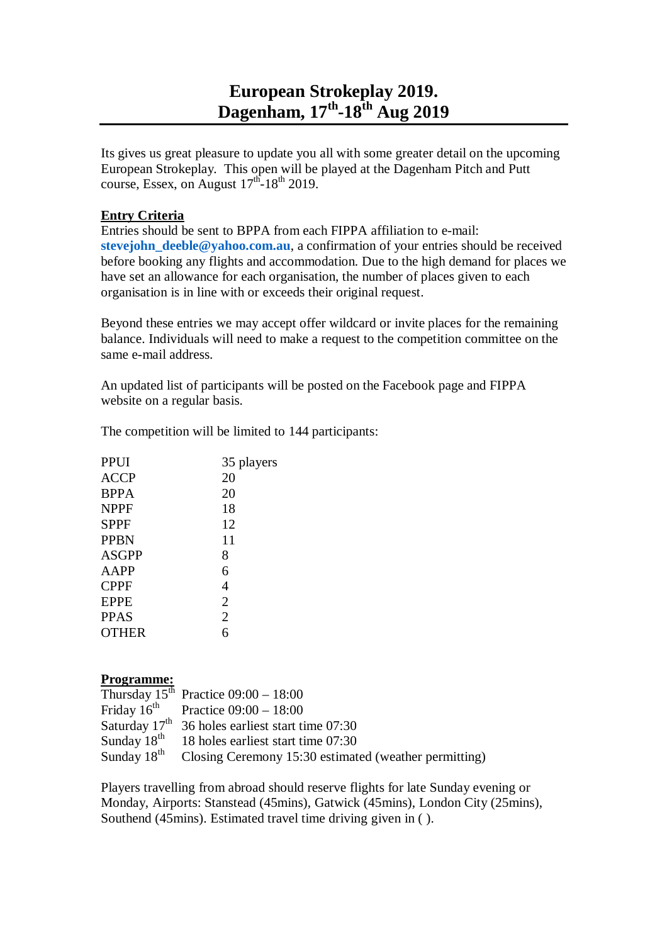## **European Strokeplay 2019. Dagenham, 17 th -18 th Aug 2019**

Its gives us great pleasure to update you all with some greater detail on the upcoming European Strokeplay. This open will be played at the Dagenham Pitch and Putt course, Essex, on August  $17<sup>th</sup>$ -18<sup>th</sup> 2019.

## **Entry Criteria**

Entries should be sent to BPPA from each FIPPA affiliation to e-mail: **stevejohn** deeble@yahoo.com.au, a confirmation of your entries should be received before booking any flights and accommodation. Due to the high demand for places we have set an allowance for each organisation, the number of places given to each organisation is in line with or exceeds their original request.

Beyond these entries we may accept offer wildcard or invite places for the remaining balance. Individuals will need to make a request to the competition committee on the same e-mail address.

An updated list of participants will be posted on the Facebook page and FIPPA website on a regular basis.

| 35 players     |
|----------------|
| 20             |
| 20             |
| 18             |
| 12             |
| 11             |
| 8              |
| 6              |
| 4              |
| $\overline{2}$ |
| $\overline{2}$ |
| 6              |
|                |

The competition will be limited to 144 participants:

## **Programme:**

|                         | Thursday $15^{th}$ Practice $09:00 - 18:00$           |
|-------------------------|-------------------------------------------------------|
|                         | Friday $16^{\text{th}}$ Practice 09:00 - 18:00        |
|                         | Saturday $17th$ 36 holes earliest start time 07:30    |
| Sunday 18 <sup>th</sup> | 18 holes earliest start time 07:30                    |
| Sunday 18 <sup>th</sup> | Closing Ceremony 15:30 estimated (weather permitting) |

Players travelling from abroad should reserve flights for late Sunday evening or Monday, Airports: Stanstead (45mins), Gatwick (45mins), London City (25mins), Southend (45mins). Estimated travel time driving given in ( ).